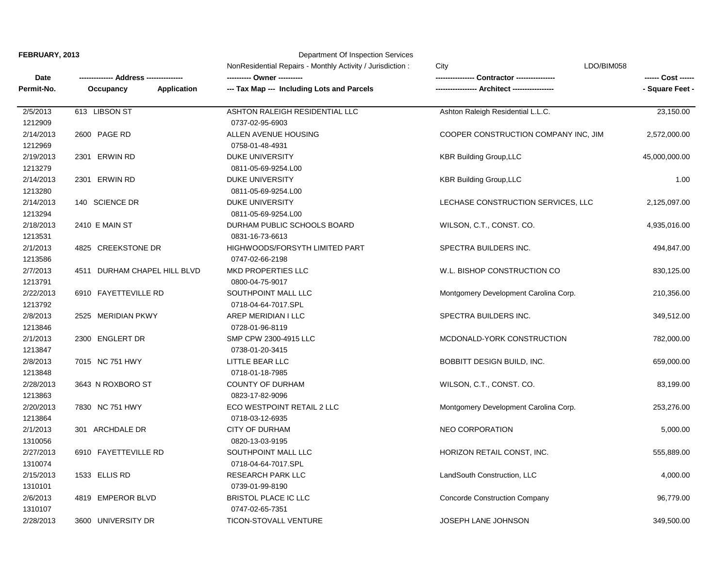## **FEBRUARY, 2013** Department Of Inspection Services

| Date       |                              | NonResidential Repairs - Monthly Activity / Jurisdiction: | LDO/BIM058<br>City                    |                 |
|------------|------------------------------|-----------------------------------------------------------|---------------------------------------|-----------------|
|            | Address -----                |                                                           | <b>Contractor -----------</b>         |                 |
| Permit-No. | Occupancy<br>Application     | --- Tax Map --- Including Lots and Parcels                |                                       | - Square Feet - |
| 2/5/2013   | 613 LIBSON ST                | ASHTON RALEIGH RESIDENTIAL LLC                            | Ashton Raleigh Residential L.L.C.     | 23,150.00       |
| 1212909    |                              | 0737-02-95-6903                                           |                                       |                 |
| 2/14/2013  | 2600 PAGE RD                 | ALLEN AVENUE HOUSING                                      | COOPER CONSTRUCTION COMPANY INC, JIM  | 2,572,000.00    |
| 1212969    |                              | 0758-01-48-4931                                           |                                       |                 |
| 2/19/2013  | 2301 ERWIN RD                | <b>DUKE UNIVERSITY</b>                                    | <b>KBR Building Group, LLC</b>        | 45,000,000.00   |
| 1213279    |                              | 0811-05-69-9254.L00                                       |                                       |                 |
| 2/14/2013  | 2301 ERWIN RD                | DUKE UNIVERSITY                                           | <b>KBR Building Group, LLC</b>        | 1.00            |
| 1213280    |                              | 0811-05-69-9254.L00                                       |                                       |                 |
| 2/14/2013  | 140 SCIENCE DR               | DUKE UNIVERSITY                                           | LECHASE CONSTRUCTION SERVICES, LLC    | 2,125,097.00    |
| 1213294    |                              | 0811-05-69-9254.L00                                       |                                       |                 |
| 2/18/2013  | 2410 E MAIN ST               | DURHAM PUBLIC SCHOOLS BOARD                               | WILSON, C.T., CONST. CO.              | 4,935,016.00    |
| 1213531    |                              | 0831-16-73-6613                                           |                                       |                 |
| 2/1/2013   | 4825 CREEKSTONE DR           | <b>HIGHWOODS/FORSYTH LIMITED PART</b>                     | SPECTRA BUILDERS INC.                 | 494,847.00      |
| 1213586    |                              | 0747-02-66-2198                                           |                                       |                 |
| 2/7/2013   | 4511 DURHAM CHAPEL HILL BLVD | <b>MKD PROPERTIES LLC</b>                                 | W.L. BISHOP CONSTRUCTION CO           | 830,125.00      |
| 1213791    |                              | 0800-04-75-9017                                           |                                       |                 |
| 2/22/2013  | 6910 FAYETTEVILLE RD         | SOUTHPOINT MALL LLC                                       | Montgomery Development Carolina Corp. | 210,356.00      |
| 1213792    |                              | 0718-04-64-7017.SPL                                       |                                       |                 |
| 2/8/2013   | 2525 MERIDIAN PKWY           | AREP MERIDIAN I LLC                                       | SPECTRA BUILDERS INC.                 | 349,512.00      |
| 1213846    |                              | 0728-01-96-8119                                           |                                       |                 |
| 2/1/2013   | 2300 ENGLERT DR              | SMP CPW 2300-4915 LLC                                     | MCDONALD-YORK CONSTRUCTION            | 782,000.00      |
| 1213847    |                              | 0738-01-20-3415                                           |                                       |                 |
| 2/8/2013   | 7015 NC 751 HWY              | LITTLE BEAR LLC                                           | BOBBITT DESIGN BUILD, INC.            | 659,000.00      |
| 1213848    |                              | 0718-01-18-7985                                           |                                       |                 |
| 2/28/2013  | 3643 N ROXBORO ST            | <b>COUNTY OF DURHAM</b>                                   | WILSON, C.T., CONST. CO.              | 83,199.00       |
| 1213863    |                              | 0823-17-82-9096                                           |                                       |                 |
| 2/20/2013  | 7830 NC 751 HWY              | ECO WESTPOINT RETAIL 2 LLC                                | Montgomery Development Carolina Corp. | 253,276.00      |
| 1213864    |                              | 0718-03-12-6935                                           |                                       |                 |
| 2/1/2013   | 301 ARCHDALE DR              | <b>CITY OF DURHAM</b>                                     | <b>NEO CORPORATION</b>                | 5,000.00        |
| 1310056    |                              | 0820-13-03-9195                                           |                                       |                 |
| 2/27/2013  | 6910 FAYETTEVILLE RD         | SOUTHPOINT MALL LLC                                       | HORIZON RETAIL CONST, INC.            | 555,889.00      |
| 1310074    |                              | 0718-04-64-7017.SPL                                       |                                       |                 |
| 2/15/2013  | 1533 ELLIS RD                | <b>RESEARCH PARK LLC</b>                                  | LandSouth Construction, LLC           | 4,000.00        |
| 1310101    |                              | 0739-01-99-8190                                           |                                       |                 |
| 2/6/2013   | 4819 EMPEROR BLVD            | <b>BRISTOL PLACE IC LLC</b>                               | <b>Concorde Construction Company</b>  | 96,779.00       |
| 1310107    |                              | 0747-02-65-7351                                           |                                       |                 |
| 2/28/2013  | 3600 UNIVERSITY DR           | TICON-STOVALL VENTURE                                     | JOSEPH LANE JOHNSON                   | 349,500.00      |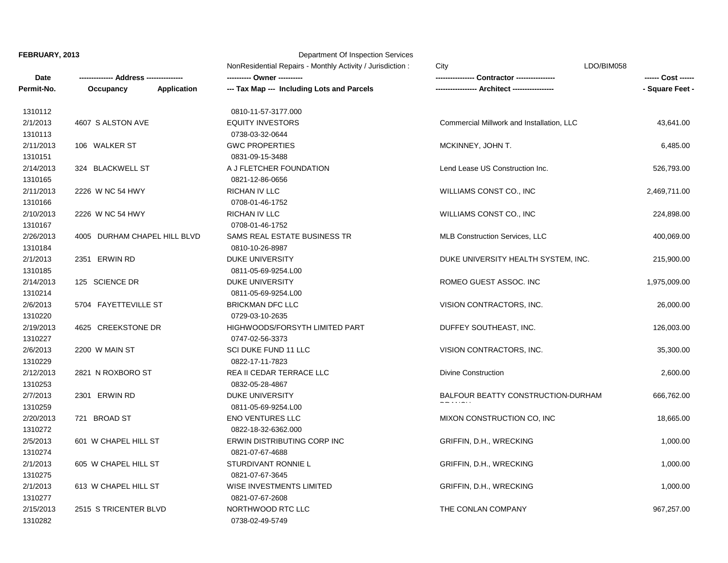## **FEBRUARY, 2013** Department Of Inspection Services

|            |                              |                    | NonResidential Repairs - Monthly Activity / Jurisdiction:<br>---------- Owner ---------- | LDO/BIM058<br>City                        | ------ Cost ------ |
|------------|------------------------------|--------------------|------------------------------------------------------------------------------------------|-------------------------------------------|--------------------|
| Date       |                              |                    |                                                                                          | Contractor ----------------               |                    |
| Permit-No. | Occupancy                    | <b>Application</b> | --- Tax Map --- Including Lots and Parcels                                               |                                           | - Square Feet -    |
| 1310112    |                              |                    | 0810-11-57-3177.000                                                                      |                                           |                    |
| 2/1/2013   | 4607 S ALSTON AVE            |                    | <b>EQUITY INVESTORS</b>                                                                  | Commercial Millwork and Installation, LLC | 43,641.00          |
| 1310113    |                              |                    | 0738-03-32-0644                                                                          |                                           |                    |
| 2/11/2013  | 106 WALKER ST                |                    | <b>GWC PROPERTIES</b>                                                                    | MCKINNEY, JOHN T.                         | 6,485.00           |
| 1310151    |                              |                    | 0831-09-15-3488                                                                          |                                           |                    |
| 2/14/2013  | 324 BLACKWELL ST             |                    | A J FLETCHER FOUNDATION                                                                  | Lend Lease US Construction Inc.           | 526,793.00         |
| 1310165    |                              |                    | 0821-12-86-0656                                                                          |                                           |                    |
| 2/11/2013  | 2226 W NC 54 HWY             |                    | RICHAN IV LLC                                                                            | WILLIAMS CONST CO., INC                   | 2,469,711.00       |
| 1310166    |                              |                    | 0708-01-46-1752                                                                          |                                           |                    |
| 2/10/2013  | 2226 W NC 54 HWY             |                    | RICHAN IV LLC                                                                            | WILLIAMS CONST CO., INC                   | 224,898.00         |
| 1310167    |                              |                    | 0708-01-46-1752                                                                          |                                           |                    |
| 2/26/2013  | 4005 DURHAM CHAPEL HILL BLVD |                    | SAMS REAL ESTATE BUSINESS TR                                                             | <b>MLB Construction Services, LLC</b>     | 400,069.00         |
| 1310184    |                              |                    | 0810-10-26-8987                                                                          |                                           |                    |
| 2/1/2013   | 2351 ERWIN RD                |                    | DUKE UNIVERSITY                                                                          | DUKE UNIVERSITY HEALTH SYSTEM, INC.       | 215,900.00         |
| 1310185    |                              |                    | 0811-05-69-9254.L00                                                                      |                                           |                    |
| 2/14/2013  | 125 SCIENCE DR               |                    | <b>DUKE UNIVERSITY</b>                                                                   | ROMEO GUEST ASSOC. INC                    | 1,975,009.00       |
| 1310214    |                              |                    | 0811-05-69-9254.L00                                                                      |                                           |                    |
| 2/6/2013   | 5704 FAYETTEVILLE ST         |                    | <b>BRICKMAN DFC LLC</b>                                                                  | VISION CONTRACTORS, INC.                  | 26,000.00          |
| 1310220    |                              |                    | 0729-03-10-2635                                                                          |                                           |                    |
| 2/19/2013  | 4625 CREEKSTONE DR           |                    | HIGHWOODS/FORSYTH LIMITED PART                                                           | DUFFEY SOUTHEAST, INC.                    | 126,003.00         |
| 1310227    |                              |                    | 0747-02-56-3373                                                                          |                                           |                    |
| 2/6/2013   | 2200 W MAIN ST               |                    | SCI DUKE FUND 11 LLC                                                                     | VISION CONTRACTORS, INC.                  | 35,300.00          |
| 1310229    |                              |                    | 0822-17-11-7823                                                                          |                                           |                    |
| 2/12/2013  | 2821 N ROXBORO ST            |                    | REA II CEDAR TERRACE LLC                                                                 | <b>Divine Construction</b>                | 2,600.00           |
| 1310253    |                              |                    | 0832-05-28-4867                                                                          |                                           |                    |
| 2/7/2013   | 2301 ERWIN RD                |                    | DUKE UNIVERSITY                                                                          | BALFOUR BEATTY CONSTRUCTION-DURHAM        | 666,762.00         |
| 1310259    |                              |                    | 0811-05-69-9254.L00                                                                      |                                           |                    |
| 2/20/2013  | 721 BROAD ST                 |                    | <b>ENO VENTURES LLC</b>                                                                  | MIXON CONSTRUCTION CO, INC                | 18,665.00          |
| 1310272    |                              |                    | 0822-18-32-6362.000                                                                      |                                           |                    |
| 2/5/2013   | 601 W CHAPEL HILL ST         |                    | ERWIN DISTRIBUTING CORP INC                                                              | GRIFFIN, D.H., WRECKING                   | 1,000.00           |
| 1310274    |                              |                    | 0821-07-67-4688                                                                          |                                           |                    |
| 2/1/2013   | 605 W CHAPEL HILL ST         |                    | STURDIVANT RONNIE L                                                                      | GRIFFIN, D.H., WRECKING                   | 1,000.00           |
| 1310275    |                              |                    | 0821-07-67-3645                                                                          |                                           |                    |
| 2/1/2013   | 613 W CHAPEL HILL ST         |                    | WISE INVESTMENTS LIMITED                                                                 | GRIFFIN, D.H., WRECKING                   | 1,000.00           |
| 1310277    |                              |                    | 0821-07-67-2608                                                                          |                                           |                    |
| 2/15/2013  | 2515 S TRICENTER BLVD        |                    | NORTHWOOD RTC LLC                                                                        | THE CONLAN COMPANY                        | 967,257.00         |
| 1310282    |                              |                    | 0738-02-49-5749                                                                          |                                           |                    |